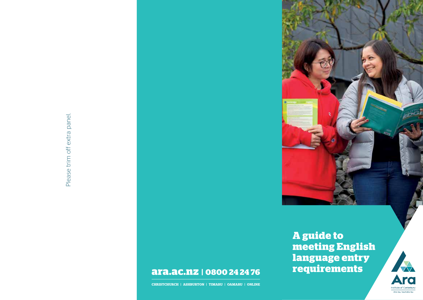

# **ara.ac.nz | 0800 24 24 76**

**CHRISTCHURCH | ASHBURTON | TIMARU | OAMARU | ONLINE**

**A guide to meeting English language entry requirements**